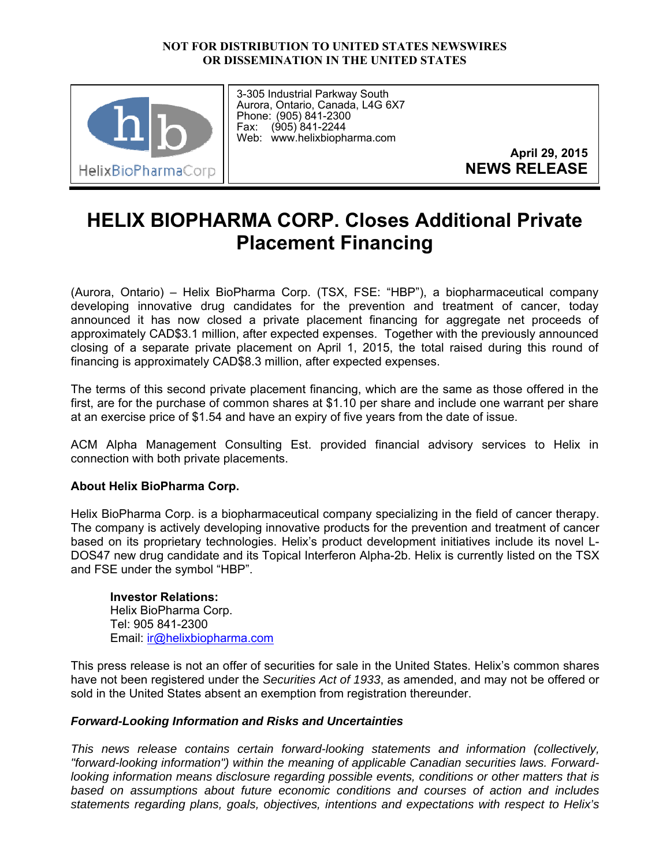## **NOT FOR DISTRIBUTION TO UNITED STATES NEWSWIRES OR DISSEMINATION IN THE UNITED STATES**



3-305 Industrial Parkway South Aurora, Ontario, Canada, L4G 6X7 Phone: (905) 841-2300 Fax: (905) 841-2244 Web: www.helixbiopharma.com

> **April 29, 2015 NEWS RELEASE**

## **HELIX BIOPHARMA CORP. Closes Additional Private Placement Financing**

(Aurora, Ontario) – Helix BioPharma Corp. (TSX, FSE: "HBP"), a biopharmaceutical company developing innovative drug candidates for the prevention and treatment of cancer, today announced it has now closed a private placement financing for aggregate net proceeds of approximately CAD\$3.1 million, after expected expenses. Together with the previously announced closing of a separate private placement on April 1, 2015, the total raised during this round of financing is approximately CAD\$8.3 million, after expected expenses.

The terms of this second private placement financing, which are the same as those offered in the first, are for the purchase of common shares at \$1.10 per share and include one warrant per share at an exercise price of \$1.54 and have an expiry of five years from the date of issue.

ACM Alpha Management Consulting Est. provided financial advisory services to Helix in connection with both private placements.

## **About Helix BioPharma Corp.**

Helix BioPharma Corp. is a biopharmaceutical company specializing in the field of cancer therapy. The company is actively developing innovative products for the prevention and treatment of cancer based on its proprietary technologies. Helix's product development initiatives include its novel L-DOS47 new drug candidate and its Topical Interferon Alpha-2b. Helix is currently listed on the TSX and FSE under the symbol "HBP".

**Investor Relations:**  Helix BioPharma Corp. Tel: 905 841-2300 Email: ir@helixbiopharma.com

This press release is not an offer of securities for sale in the United States. Helix's common shares have not been registered under the *Securities Act of 1933*, as amended, and may not be offered or sold in the United States absent an exemption from registration thereunder.

## *Forward-Looking Information and Risks and Uncertainties*

*This news release contains certain forward-looking statements and information (collectively, "forward-looking information") within the meaning of applicable Canadian securities laws. Forwardlooking information means disclosure regarding possible events, conditions or other matters that is based on assumptions about future economic conditions and courses of action and includes statements regarding plans, goals, objectives, intentions and expectations with respect to Helix's*